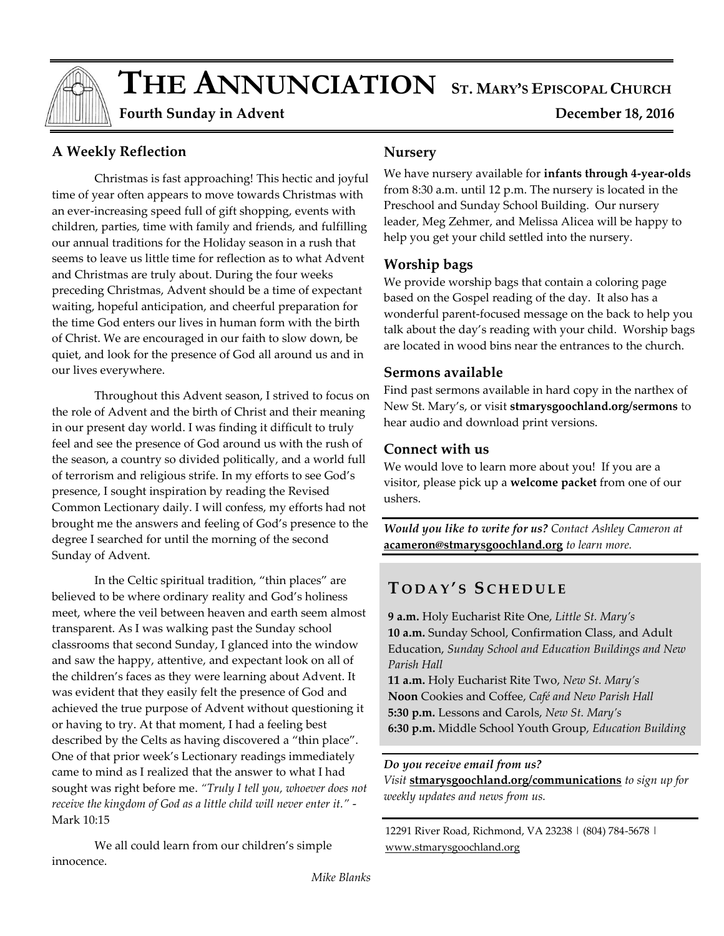# $\bf{THE ANNUNCIATION}$  ST. MARY'S EPISCOPAL CHURCH

 **Fourth Sunday in Advent December 18, 2016** 

# **A Weekly Reflection**

Christmas is fast approaching! This hectic and joyful time of year often appears to move towards Christmas with an ever-increasing speed full of gift shopping, events with children, parties, time with family and friends, and fulfilling our annual traditions for the Holiday season in a rush that seems to leave us little time for reflection as to what Advent and Christmas are truly about. During the four weeks preceding Christmas, Advent should be a time of expectant waiting, hopeful anticipation, and cheerful preparation for the time God enters our lives in human form with the birth of Christ. We are encouraged in our faith to slow down, be quiet, and look for the presence of God all around us and in our lives everywhere.

Throughout this Advent season, I strived to focus on the role of Advent and the birth of Christ and their meaning in our present day world. I was finding it difficult to truly feel and see the presence of God around us with the rush of the season, a country so divided politically, and a world full of terrorism and religious strife. In my efforts to see God's presence, I sought inspiration by reading the Revised Common Lectionary daily. I will confess, my efforts had not brought me the answers and feeling of God's presence to the degree I searched for until the morning of the second Sunday of Advent.

In the Celtic spiritual tradition, "thin places" are believed to be where ordinary reality and God's holiness meet, where the veil between heaven and earth seem almost transparent. As I was walking past the Sunday school classrooms that second Sunday, I glanced into the window and saw the happy, attentive, and expectant look on all of the children's faces as they were learning about Advent. It was evident that they easily felt the presence of God and achieved the true purpose of Advent without questioning it or having to try. At that moment, I had a feeling best described by the Celts as having discovered a "thin place". One of that prior week's Lectionary readings immediately came to mind as I realized that the answer to what I had sought was right before me. *"Truly I tell you, whoever does not receive the kingdom of God as a little child will never enter it."* - Mark 10:15

We all could learn from our children's simple innocence.

#### **Nursery**

We have nursery available for **infants through 4-year-olds** from 8:30 a.m. until 12 p.m. The nursery is located in the Preschool and Sunday School Building. Our nursery leader, Meg Zehmer, and Melissa Alicea will be happy to help you get your child settled into the nursery.

# **Worship bags**

We provide worship bags that contain a coloring page based on the Gospel reading of the day. It also has a wonderful parent-focused message on the back to help you talk about the day's reading with your child. Worship bags are located in wood bins near the entrances to the church.

# **Sermons available**

Find past sermons available in hard copy in the narthex of New St. Mary's, or visit **stmarysgoochland.org/sermons** to hear audio and download print versions.

# **Connect with us**

We would love to learn more about you! If you are a visitor, please pick up a **welcome packet** from one of our ushers.

*Would you like to write for us? Contact Ashley Cameron at*  **acameron@stmarysgoochland.org** *to learn more.*

# **T O D A Y ' S S C H E D U L E**

**9 a.m.** Holy Eucharist Rite One, *Little St. Mary's* **10 a.m.** Sunday School, Confirmation Class, and Adult Education, *Sunday School and Education Buildings and New Parish Hall*

**11 a.m.** Holy Eucharist Rite Two, *New St. Mary's* **Noon** Cookies and Coffee, *Café and New Parish Hall* **5:30 p.m.** Lessons and Carols, *New St. Mary's* **6:30 p.m.** Middle School Youth Group, *Education Building*

#### *Do you receive email from us?*

*Visit* **stmarysgoochland.org/communications** *to sign up for weekly updates and news from us.*

12291 River Road, Richmond, VA 23238 | (804) 784-5678 | www.stmarysgoochland.org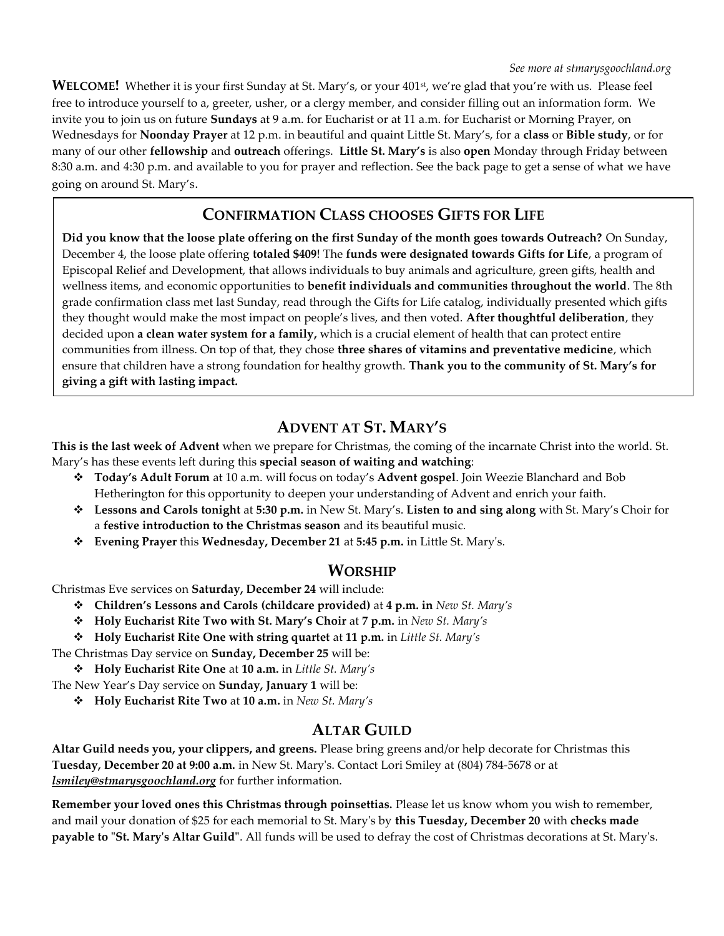**WELCOME!** Whether it is your first Sunday at St. Mary's, or your 401<sup>st</sup>, we're glad that you're with us. Please feel free to introduce yourself to a, greeter, usher, or a clergy member, and consider filling out an information form. We invite you to join us on future **Sundays** at 9 a.m. for Eucharist or at 11 a.m. for Eucharist or Morning Prayer, on Wednesdays for **Noonday Prayer** at 12 p.m. in beautiful and quaint Little St. Mary's, for a **class** or **Bible study**, or for many of our other **fellowship** and **outreach** offerings. **Little St. Mary's** is also **open** Monday through Friday between 8:30 a.m. and 4:30 p.m. and available to you for prayer and reflection. See the back page to get a sense of what we have going on around St. Mary's.

# **CONFIRMATION CLASS CHOOSES GIFTS FOR LIFE**

**Did you know that the loose plate offering on the first Sunday of the month goes towards Outreach?** On Sunday, December 4, the loose plate offering **totaled \$409**! The **funds were designated towards Gifts for Life**, a program of Episcopal Relief and Development, that allows individuals to buy animals and agriculture, green gifts, health and wellness items, and economic opportunities to **benefit individuals and communities throughout the world**. The 8th grade confirmation class met last Sunday, read through the Gifts for Life catalog, individually presented which gifts they thought would make the most impact on people's lives, and then voted. **After thoughtful deliberation**, they decided upon **a clean water system for a family,** which is a crucial element of health that can protect entire communities from illness. On top of that, they chose **three shares of vitamins and preventative medicine**, which ensure that children have a strong foundation for healthy growth. **Thank you to the community of St. Mary's for giving a gift with lasting impact.**

# **ADVENT AT ST. MARY'S**

**This is the last week of Advent** when we prepare for Christmas, the coming of the incarnate Christ into the world. St. Mary's has these events left during this **special season of waiting and watching**:

- **Today's Adult Forum** at 10 a.m. will focus on today's **Advent gospel**. Join Weezie Blanchard and Bob Hetherington for this opportunity to deepen your understanding of Advent and enrich your faith.
- **Lessons and Carols tonight** at **5:30 p.m.** in New St. Mary's. **Listen to and sing along** with St. Mary's Choir for a **festive introduction to the Christmas season** and its beautiful music.
- **Evening Prayer** this **Wednesday, December 21** at **5:45 p.m.** in Little St. Mary's.

# **WORSHIP**

Christmas Eve services on **Saturday, December 24** will include:

- **Children's Lessons and Carols (childcare provided)** at **4 p.m. in** *New St. Mary's*
- **Holy Eucharist Rite Two with St. Mary's Choir** at **7 p.m.** in *New St. Mary's*
- **Holy Eucharist Rite One with string quartet** at **11 p.m.** in *Little St. Mary's*

The Christmas Day service on **Sunday, December 25** will be:

**Holy Eucharist Rite One** at **10 a.m.** in *Little St. Mary's*

The New Year's Day service on **Sunday, January 1** will be:

**Holy Eucharist Rite Two** at **10 a.m.** in *New St. Mary's*

# **ALTAR GUILD**

**Altar Guild needs you, your clippers, and greens.** Please bring greens and/or help decorate for Christmas this **Tuesday, December 20 at 9:00 a.m.** in New St. Mary's. Contact Lori Smiley at (804) 784-5678 or at *lsmiley@stmarysgoochland.org* for further information.

**Remember your loved ones this Christmas through poinsettias.** Please let us know whom you wish to remember, and mail your donation of \$25 for each memorial to St. Mary's by **this Tuesday, December 20** with **checks made payable to "St. Mary's Altar Guild"**. All funds will be used to defray the cost of Christmas decorations at St. Mary's.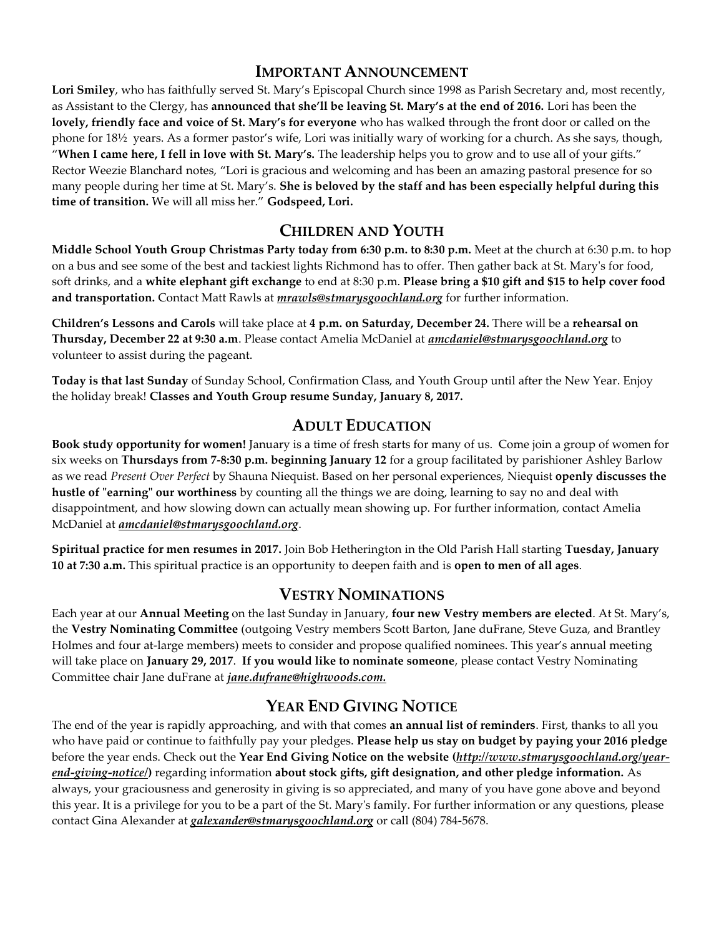#### **IMPORTANT ANNOUNCEMENT**

**Lori Smiley**, who has faithfully served St. Mary's Episcopal Church since 1998 as Parish Secretary and, most recently, as Assistant to the Clergy, has **announced that she'll be leaving St. Mary's at the end of 2016.** Lori has been the **lovely, friendly face and voice of St. Mary's for everyone** who has walked through the front door or called on the phone for 18½ years. As a former pastor's wife, Lori was initially wary of working for a church. As she says, though, "**When I came here, I fell in love with St. Mary's.** The leadership helps you to grow and to use all of your gifts." Rector Weezie Blanchard notes, "Lori is gracious and welcoming and has been an amazing pastoral presence for so many people during her time at St. Mary's. **She is beloved by the staff and has been especially helpful during this time of transition.** We will all miss her." **Godspeed, Lori.**

# **CHILDREN AND YOUTH**

**Middle School Youth Group Christmas Party today from 6:30 p.m. to 8:30 p.m.** Meet at the church at 6:30 p.m. to hop on a bus and see some of the best and tackiest lights Richmond has to offer. Then gather back at St. Mary's for food, soft drinks, and a **white elephant gift exchange** to end at 8:30 p.m. **Please bring a \$10 gift and \$15 to help cover food and transportation.** Contact Matt Rawls at *mrawls@stmarysgoochland.org* for further information.

**Children's Lessons and Carols** will take place at **4 p.m. on Saturday, December 24.** There will be a **rehearsal on Thursday, December 22 at 9:30 a.m**. Please contact Amelia McDaniel at *amcdaniel@stmarysgoochland.org* to volunteer to assist during the pageant.

**Today is that last Sunday** of Sunday School, Confirmation Class, and Youth Group until after the New Year. Enjoy the holiday break! **Classes and Youth Group resume Sunday, January 8, 2017.**

# **ADULT EDUCATION**

**Book study opportunity for women!** January is a time of fresh starts for many of us. Come join a group of women for six weeks on **Thursdays from 7-8:30 p.m. beginning January 12** for a group facilitated by parishioner Ashley Barlow as we read *Present Over Perfect* by Shauna Niequist. Based on her personal experiences, Niequist **openly discusses the hustle of "earning" our worthiness** by counting all the things we are doing, learning to say no and deal with disappointment, and how slowing down can actually mean showing up. For further information, contact Amelia McDaniel at *amcdaniel@stmarysgoochland.org*.

**Spiritual practice for men resumes in 2017.** Join Bob Hetherington in the Old Parish Hall starting **Tuesday, January 10 at 7:30 a.m.** This spiritual practice is an opportunity to deepen faith and is **open to men of all ages**.

#### **VESTRY NOMINATIONS**

Each year at our **Annual Meeting** on the last Sunday in January, **four new Vestry members are elected**. At St. Mary's, the **Vestry Nominating Committee** (outgoing Vestry members Scott Barton, Jane duFrane, Steve Guza, and Brantley Holmes and four at-large members) meets to consider and propose qualified nominees. This year's annual meeting will take place on **January 29, 2017**. **If you would like to nominate someone**, please contact Vestry Nominating Committee chair Jane duFrane at *jane.dufrane@highwoods.com.* 

# **YEAR END GIVING NOTICE**

The end of the year is rapidly approaching, and with that comes **an annual list of reminders**. First, thanks to all you who have paid or continue to faithfully pay your pledges. **Please help us stay on budget by paying your 2016 pledge** before the year ends. Check out the **Year End Giving Notice on the website (***http://www.stmarysgoochland.org/yearend-giving-notice/***)** regarding information **about stock gifts, gift designation, and other pledge information.** As always, your graciousness and generosity in giving is so appreciated, and many of you have gone above and beyond this year. It is a privilege for you to be a part of the St. Mary's family. For further information or any questions, please contact Gina Alexander at *galexander@stmarysgoochland.org* or call (804) 784-5678.